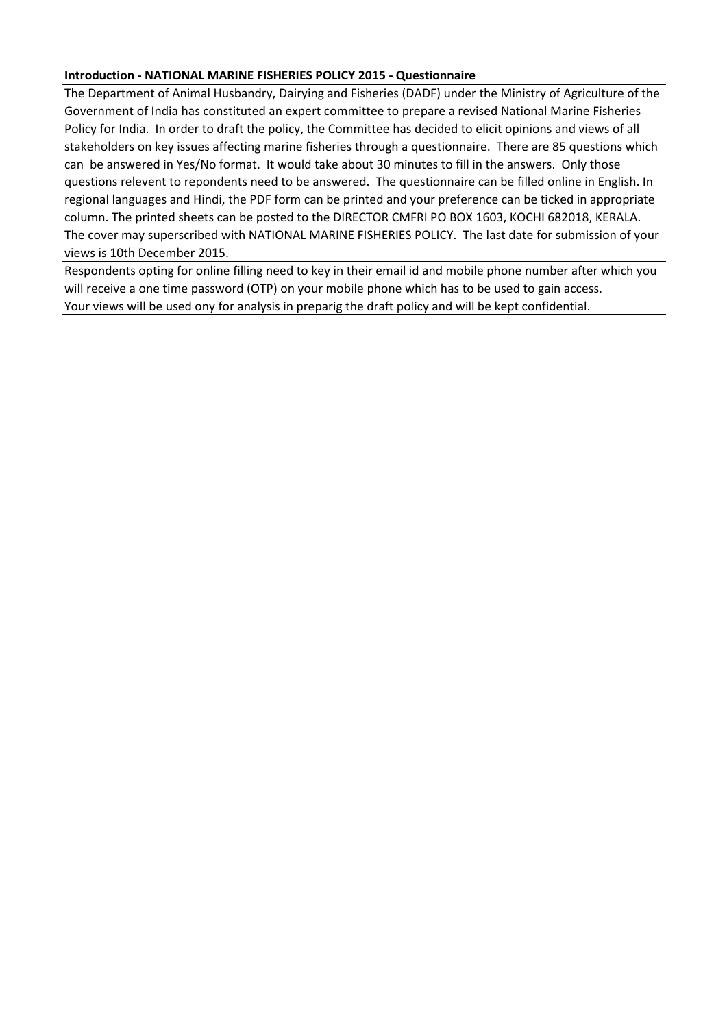# **Introduction - NATIONAL MARINE FISHERIES POLICY 2015 - Questionnaire**

The Department of Animal Husbandry, Dairying and Fisheries (DADF) under the Ministry of Agriculture of the Government of India has constituted an expert committee to prepare a revised National Marine Fisheries Policy for India. In order to draft the policy, the Committee has decided to elicit opinions and views of all stakeholders on key issues affecting marine fisheries through a questionnaire. There are 85 questions which can be answered in Yes/No format. It would take about 30 minutes to fill in the answers. Only those questions relevent to repondents need to be answered. The questionnaire can be filled online in English. In regional languages and Hindi, the PDF form can be printed and your preference can be ticked in appropriate column. The printed sheets can be posted to the DIRECTOR CMFRI PO BOX 1603, KOCHI 682018, KERALA. The cover may superscribed with NATIONAL MARINE FISHERIES POLICY. The last date for submission of your views is 10th December 2015.

Respondents opting for online filling need to key in their email id and mobile phone number after which you will receive a one time password (OTP) on your mobile phone which has to be used to gain access. Your views will be used ony for analysis in preparig the draft policy and will be kept confidential.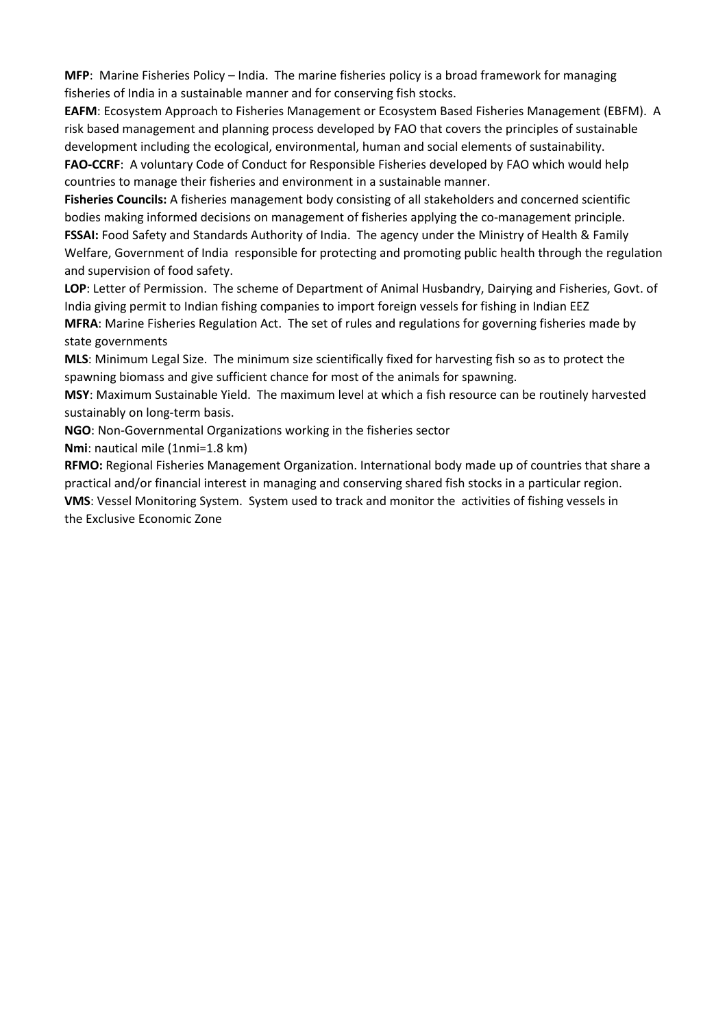**MFP**: Marine Fisheries Policy – India. The marine fisheries policy is a broad framework for managing fisheries of India in a sustainable manner and for conserving fish stocks.

**EAFM**: Ecosystem Approach to Fisheries Management or Ecosystem Based Fisheries Management (EBFM). A risk based management and planning process developed by FAO that covers the principles of sustainable development including the ecological, environmental, human and social elements of sustainability. **FAO-CCRF**: A voluntary Code of Conduct for Responsible Fisheries developed by FAO which would help countries to manage their fisheries and environment in a sustainable manner.

**Fisheries Councils:** A fisheries management body consisting of all stakeholders and concerned scientific bodies making informed decisions on management of fisheries applying the co-management principle. **FSSAI:** Food Safety and Standards Authority of India. The agency under the Ministry of Health & Family Welfare, Government of India responsible for protecting and promoting public health through the regulation and supervision of food safety.

**LOP**: Letter of Permission. The scheme of Department of Animal Husbandry, Dairying and Fisheries, Govt. of India giving permit to Indian fishing companies to import foreign vessels for fishing in Indian EEZ

**MFRA**: Marine Fisheries Regulation Act. The set of rules and regulations for governing fisheries made by state governments

**MLS**: Minimum Legal Size. The minimum size scientifically fixed for harvesting fish so as to protect the spawning biomass and give sufficient chance for most of the animals for spawning.

**MSY**: Maximum Sustainable Yield. The maximum level at which a fish resource can be routinely harvested sustainably on long-term basis.

**NGO**: Non-Governmental Organizations working in the fisheries sector

**Nmi**: nautical mile (1nmi=1.8 km)

**RFMO:** Regional Fisheries Management Organization. International body made up of countries that share a practical and/or financial interest in managing and conserving shared fish stocks in a particular region. **VMS**: Vessel Monitoring System. System used to track and monitor the activities of fishing vessels in the Exclusive Economic Zone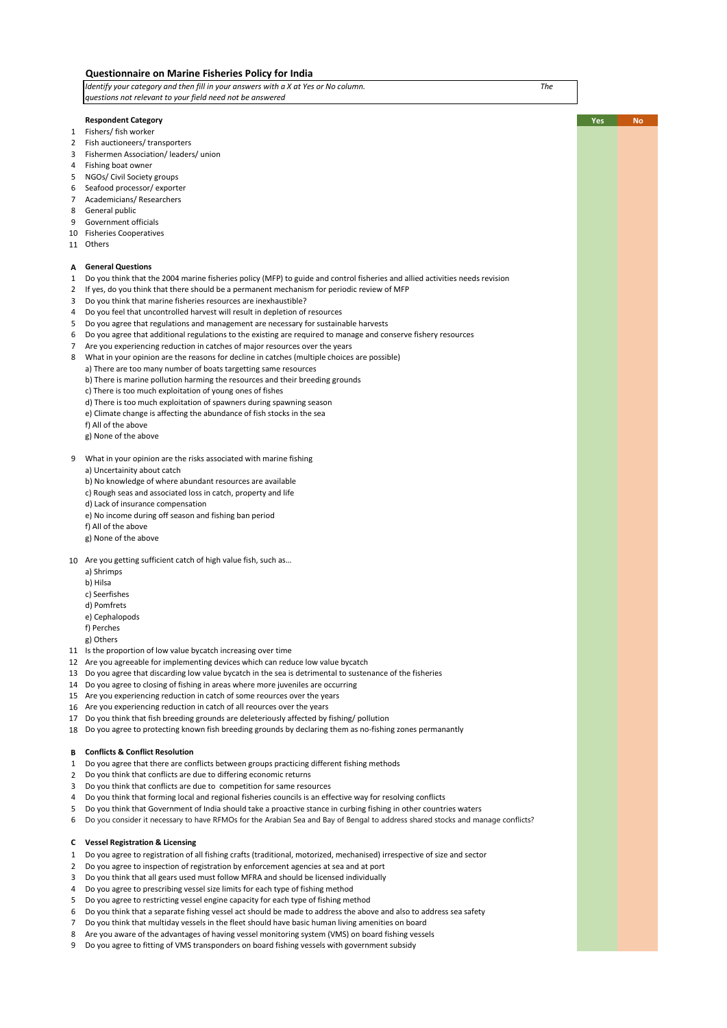|                  | Questionnaire on Marine Fisheries Policy for India                                                                                                             |                  |
|------------------|----------------------------------------------------------------------------------------------------------------------------------------------------------------|------------------|
|                  | Identify your category and then fill in your answers with a X at Yes or No column.<br>The                                                                      |                  |
|                  | questions not relevant to your field need not be answered                                                                                                      |                  |
|                  |                                                                                                                                                                |                  |
|                  | <b>Respondent Category</b>                                                                                                                                     | Yes<br><b>No</b> |
| $\mathbf{1}$     | Fishers/ fish worker                                                                                                                                           |                  |
| $\overline{2}$   | Fish auctioneers/ transporters                                                                                                                                 |                  |
| 3                | Fishermen Association/ leaders/ union                                                                                                                          |                  |
| 4                | Fishing boat owner                                                                                                                                             |                  |
| 5                | NGOs/ Civil Society groups                                                                                                                                     |                  |
| 6                | Seafood processor/exporter                                                                                                                                     |                  |
| 7                | Academicians/Researchers                                                                                                                                       |                  |
| 8                | General public                                                                                                                                                 |                  |
| 9                | Government officials                                                                                                                                           |                  |
| 10               | <b>Fisheries Cooperatives</b>                                                                                                                                  |                  |
|                  | 11 Others                                                                                                                                                      |                  |
|                  |                                                                                                                                                                |                  |
| А                | <b>General Questions</b>                                                                                                                                       |                  |
| $\mathbf{1}$     | Do you think that the 2004 marine fisheries policy (MFP) to guide and control fisheries and allied activities needs revision                                   |                  |
| $\mathbf{2}$     | If yes, do you think that there should be a permanent mechanism for periodic review of MFP                                                                     |                  |
| 3                | Do you think that marine fisheries resources are inexhaustible?                                                                                                |                  |
| 4                | Do you feel that uncontrolled harvest will result in depletion of resources                                                                                    |                  |
| 5                | Do you agree that regulations and management are necessary for sustainable harvests                                                                            |                  |
| 6                | Do you agree that additional regulations to the existing are required to manage and conserve fishery resources                                                 |                  |
| $7^{\circ}$<br>8 | Are you experiencing reduction in catches of major resources over the years                                                                                    |                  |
|                  | What in your opinion are the reasons for decline in catches (multiple choices are possible)<br>a) There are too many number of boats targetting same resources |                  |
|                  | b) There is marine pollution harming the resources and their breeding grounds                                                                                  |                  |
|                  | c) There is too much exploitation of young ones of fishes                                                                                                      |                  |
|                  | d) There is too much exploitation of spawners during spawning season                                                                                           |                  |
|                  | e) Climate change is affecting the abundance of fish stocks in the sea                                                                                         |                  |
|                  | f) All of the above                                                                                                                                            |                  |
|                  | g) None of the above                                                                                                                                           |                  |
|                  |                                                                                                                                                                |                  |
| 9                | What in your opinion are the risks associated with marine fishing                                                                                              |                  |
|                  | a) Uncertainity about catch                                                                                                                                    |                  |
|                  | b) No knowledge of where abundant resources are available                                                                                                      |                  |
|                  | c) Rough seas and associated loss in catch, property and life                                                                                                  |                  |
|                  | d) Lack of insurance compensation                                                                                                                              |                  |
|                  | e) No income during off season and fishing ban period                                                                                                          |                  |
|                  | f) All of the above                                                                                                                                            |                  |
|                  | g) None of the above                                                                                                                                           |                  |
|                  |                                                                                                                                                                |                  |
|                  | 10 Are you getting sufficient catch of high value fish, such as                                                                                                |                  |
|                  | a) Shrimps                                                                                                                                                     |                  |
|                  | b) Hilsa                                                                                                                                                       |                  |
|                  | c) Seerfishes                                                                                                                                                  |                  |
|                  | d) Pomfrets                                                                                                                                                    |                  |
|                  | e) Cephalopods                                                                                                                                                 |                  |
|                  | f) Perches                                                                                                                                                     |                  |
|                  | g) Others                                                                                                                                                      |                  |
|                  | 11 Is the proportion of low value bycatch increasing over time                                                                                                 |                  |
|                  | 12 Are you agreeable for implementing devices which can reduce low value bycatch                                                                               |                  |
| 13               | Do you agree that discarding low value bycatch in the sea is detrimental to sustenance of the fisheries                                                        |                  |
| 14               | Do you agree to closing of fishing in areas where more juveniles are occurring                                                                                 |                  |
|                  | 15 Are you experiencing reduction in catch of some reources over the years                                                                                     |                  |
|                  | 16 Are you experiencing reduction in catch of all reources over the years                                                                                      |                  |
| 17               | Do you think that fish breeding grounds are deleteriously affected by fishing/ pollution                                                                       |                  |
| 18               | Do you agree to protecting known fish breeding grounds by declaring them as no-fishing zones permanantly                                                       |                  |
|                  |                                                                                                                                                                |                  |
| В                | <b>Conflicts &amp; Conflict Resolution</b>                                                                                                                     |                  |
| 1                | Do you agree that there are conflicts between groups practicing different fishing methods                                                                      |                  |
| 2                | Do you think that conflicts are due to differing economic returns                                                                                              |                  |
| 3                | Do you think that conflicts are due to competition for same resources                                                                                          |                  |
| 4                | Do you think that forming local and regional fisheries councils is an effective way for resolving conflicts                                                    |                  |
| 5                | Do you think that Government of India should take a proactive stance in curbing fishing in other countries waters                                              |                  |
| 6                | Do you consider it necessary to have RFMOs for the Arabian Sea and Bay of Bengal to address shared stocks and manage conflicts?                                |                  |
|                  |                                                                                                                                                                |                  |
| C                | <b>Vessel Registration &amp; Licensing</b>                                                                                                                     |                  |
| 1                | Do you agree to registration of all fishing crafts (traditional, motorized, mechanised) irrespective of size and sector                                        |                  |
| 2                | Do you agree to inspection of registration by enforcement agencies at sea and at port                                                                          |                  |
| 3                | Do you think that all gears used must follow MFRA and should be licensed individually                                                                          |                  |
| 4                | Do you agree to prescribing vessel size limits for each type of fishing method                                                                                 |                  |
| 5                | Do you agree to restricting vessel engine capacity for each type of fishing method                                                                             |                  |
| 6                | Do you think that a separate fishing vessel act should be made to address the above and also to address sea safety                                             |                  |
| 7                | Do you think that multiday vessels in the fleet should have basic human living amenities on board                                                              |                  |
| 8                | Are you aware of the advantages of having vessel monitoring system (VMS) on board fishing vessels                                                              |                  |
| 9                | Do you agree to fitting of VMS transponders on board fishing vessels with government subsidy                                                                   |                  |
|                  |                                                                                                                                                                |                  |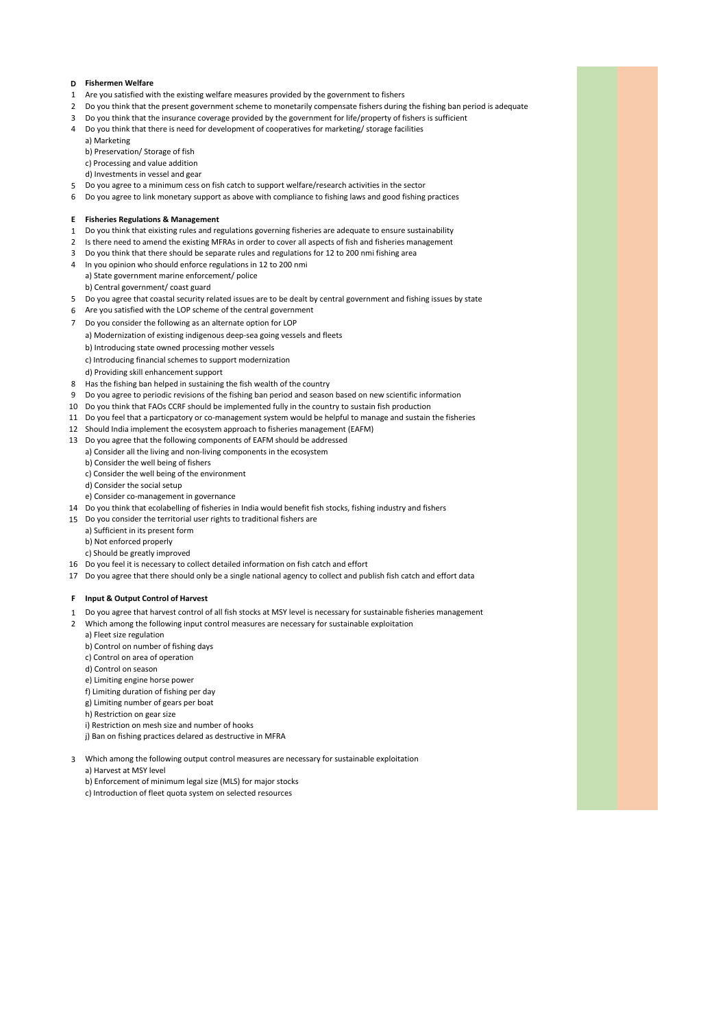# **D Fishermen Welfare**

- 1 Are you satisfied with the existing welfare measures provided by the government to fishers
- 2 Do you think that the present government scheme to monetarily compensate fishers during the fishing ban period is adequate
- 3 Do you think that the insurance coverage provided by the government for life/property of fishers is sufficient
- 4 Do you think that there is need for development of cooperatives for marketing/ storage facilities
- a) Marketing b) Preservation/ Storage of fish
- c) Processing and value addition d) Investments in vessel and gear
- 5 Do you agree to a minimum cess on fish catch to support welfare/research activities in the sector
- 6 Do you agree to link monetary support as above with compliance to fishing laws and good fishing practices

## **E Fisheries Regulations & Management**

- 1 Do you think that eixisting rules and regulations governing fisheries are adequate to ensure sustainability
- 2 Is there need to amend the existing MFRAs in order to cover all aspects of fish and fisheries management
- 3 Do you think that there should be separate rules and regulations for 12 to 200 nmi fishing area
- 4 In you opinion who should enforce regulations in 12 to 200 nmi a) State government marine enforcement/ police b) Central government/ coast guard
- 5 Do you agree that coastal security related issues are to be dealt by central government and fishing issues by state
- 6 Are you satisfied with the LOP scheme of the central government
- 7 Do you consider the following as an alternate option for LOP
- a) Modernization of existing indigenous deep-sea going vessels and fleets
	- b) Introducing state owned processing mother vessels
	- c) Introducing financial schemes to support modernization
	- d) Providing skill enhancement support
- 8 Has the fishing ban helped in sustaining the fish wealth of the country
- 9 Do you agree to periodic revisions of the fishing ban period and season based on new scientific information
- 10 Do you think that FAOs CCRF should be implemented fully in the country to sustain fish production
- 11 Do you feel that a particpatory or co-management system would be helpful to manage and sustain the fisheries
- 12 Should India implement the ecosystem approach to fisheries management (EAFM)
- 13 Do you agree that the following components of EAFM should be addressed
- a) Consider all the living and non-living components in the ecosystem
	- b) Consider the well being of fishers
	- c) Consider the well being of the environment
	- d) Consider the social setup
- e) Consider co-management in governance
- 14 Do you think that ecolabelling of fisheries in India would benefit fish stocks, fishing industry and fishers
- 15 Do you consider the territorial user rights to traditional fishers are
	- a) Sufficient in its present form
	- b) Not enforced properly
	- c) Should be greatly improved
- 16 Do you feel it is necessary to collect detailed information on fish catch and effort
- 17 Do you agree that there should only be a single national agency to collect and publish fish catch and effort data

#### **F Input & Output Control of Harvest**

- 1 Do you agree that harvest control of all fish stocks at MSY level is necessary for sustainable fisheries management
- 2 Which among the following input control measures are necessary for sustainable exploitation a) Fleet size regulation
	- b) Control on number of fishing days
	- c) Control on area of operation
	- d) Control on season
	- e) Limiting engine horse power
	- f) Limiting duration of fishing per day
	- g) Limiting number of gears per boat
	- h) Restriction on gear size
	- i) Restriction on mesh size and number of hooks
	- j) Ban on fishing practices delared as destructive in MFRA
	-

3 Which among the following output control measures are necessary for sustainable exploitation a) Harvest at MSY level

- b) Enforcement of minimum legal size (MLS) for major stocks
- c) Introduction of fleet quota system on selected resources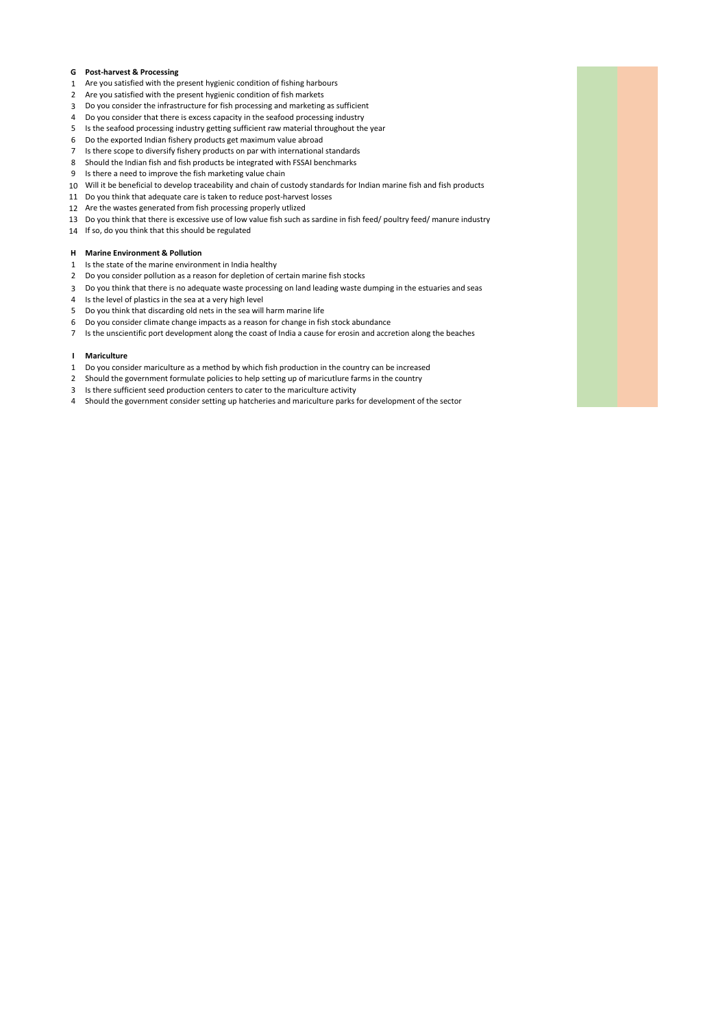# **G Post-harvest & Processing**

- Are you satisfied with the present hygienic condition of fishing harbours
- Are you satisfied with the present hygienic condition of fish markets
- Do you consider the infrastructure for fish processing and marketing as sufficient
- Do you consider that there is excess capacity in the seafood processing industry
- Is the seafood processing industry getting sufficient raw material throughout the year
- Do the exported Indian fishery products get maximum value abroad
- Is there scope to diversify fishery products on par with international standards
- Should the Indian fish and fish products be integrated with FSSAI benchmarks
- Is there a need to improve the fish marketing value chain Will it be beneficial to develop traceability and chain of custody standards for Indian marine fish and fish products
- Do you think that adequate care is taken to reduce post-harvest losses
- Are the wastes generated from fish processing properly utlized
- Do you think that there is excessive use of low value fish such as sardine in fish feed/ poultry feed/ manure industry
- If so, do you think that this should be regulated

# **H Marine Environment & Pollution**

- Is the state of the marine environment in India healthy
- Do you consider pollution as a reason for depletion of certain marine fish stocks
- Do you think that there is no adequate waste processing on land leading waste dumping in the estuaries and seas
- Is the level of plastics in the sea at a very high level
- Do you think that discarding old nets in the sea will harm marine life
- Do you consider climate change impacts as a reason for change in fish stock abundance
- Is the unscientific port development along the coast of India a cause for erosin and accretion along the beaches

## **I Mariculture**

- Do you consider mariculture as a method by which fish production in the country can be increased
- Should the government formulate policies to help setting up of maricutlure farms in the country
- Is there sufficient seed production centers to cater to the mariculture activity
- Should the government consider setting up hatcheries and mariculture parks for development of the sector